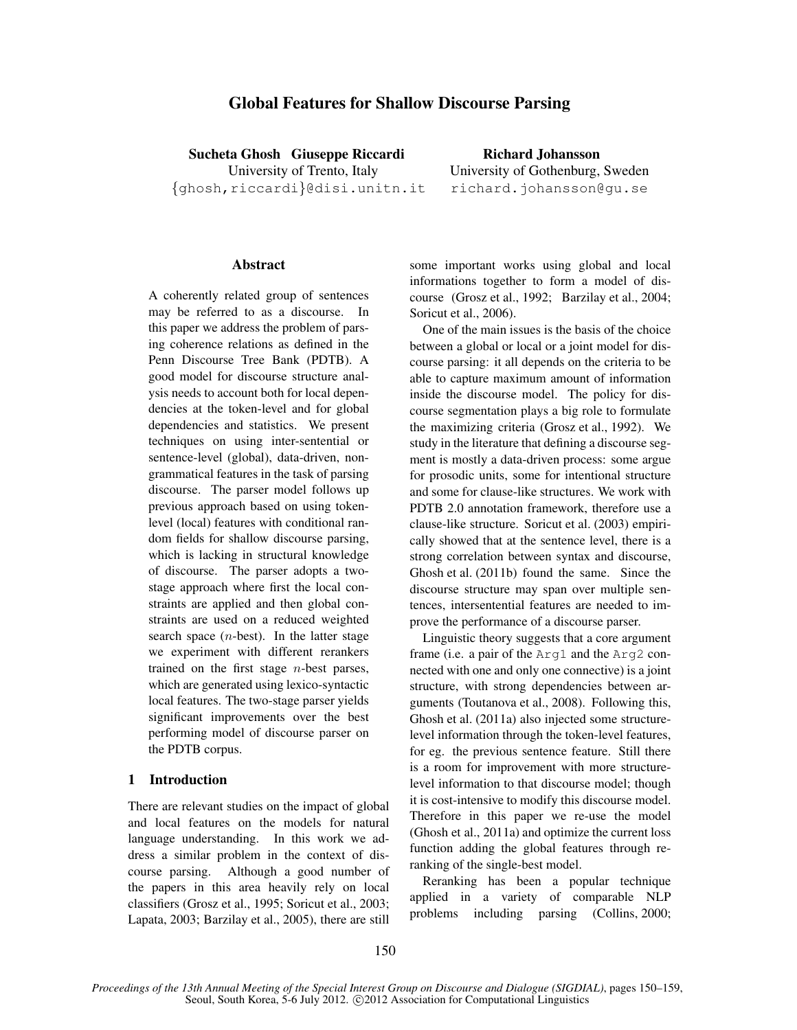# Global Features for Shallow Discourse Parsing

Sucheta Ghosh Giuseppe Riccardi Richard Johansson {ghosh,riccardi}@disi.unitn.it richard.johansson@gu.se

University of Trento, Italy University of Gothenburg, Sweden

# Abstract

A coherently related group of sentences may be referred to as a discourse. In this paper we address the problem of parsing coherence relations as defined in the Penn Discourse Tree Bank (PDTB). A good model for discourse structure analysis needs to account both for local dependencies at the token-level and for global dependencies and statistics. We present techniques on using inter-sentential or sentence-level (global), data-driven, nongrammatical features in the task of parsing discourse. The parser model follows up previous approach based on using tokenlevel (local) features with conditional random fields for shallow discourse parsing, which is lacking in structural knowledge of discourse. The parser adopts a twostage approach where first the local constraints are applied and then global constraints are used on a reduced weighted search space  $(n$ -best). In the latter stage we experiment with different rerankers trained on the first stage  $n$ -best parses, which are generated using lexico-syntactic local features. The two-stage parser yields significant improvements over the best performing model of discourse parser on the PDTB corpus.

# 1 Introduction

There are relevant studies on the impact of global and local features on the models for natural language understanding. In this work we address a similar problem in the context of discourse parsing. Although a good number of the papers in this area heavily rely on local classifiers (Grosz et al., 1995; Soricut et al., 2003; Lapata, 2003; Barzilay et al., 2005), there are still some important works using global and local informations together to form a model of discourse (Grosz et al., 1992; Barzilay et al., 2004; Soricut et al., 2006).

One of the main issues is the basis of the choice between a global or local or a joint model for discourse parsing: it all depends on the criteria to be able to capture maximum amount of information inside the discourse model. The policy for discourse segmentation plays a big role to formulate the maximizing criteria (Grosz et al., 1992). We study in the literature that defining a discourse segment is mostly a data-driven process: some argue for prosodic units, some for intentional structure and some for clause-like structures. We work with PDTB 2.0 annotation framework, therefore use a clause-like structure. Soricut et al. (2003) empirically showed that at the sentence level, there is a strong correlation between syntax and discourse, Ghosh et al. (2011b) found the same. Since the discourse structure may span over multiple sentences, intersentential features are needed to improve the performance of a discourse parser.

Linguistic theory suggests that a core argument frame (i.e. a pair of the Arg1 and the Arg2 connected with one and only one connective) is a joint structure, with strong dependencies between arguments (Toutanova et al., 2008). Following this, Ghosh et al. (2011a) also injected some structurelevel information through the token-level features, for eg. the previous sentence feature. Still there is a room for improvement with more structurelevel information to that discourse model; though it is cost-intensive to modify this discourse model. Therefore in this paper we re-use the model (Ghosh et al., 2011a) and optimize the current loss function adding the global features through reranking of the single-best model.

Reranking has been a popular technique applied in a variety of comparable NLP problems including parsing (Collins, 2000;

*Proceedings of the 13th Annual Meeting of the Special Interest Group on Discourse and Dialogue (SIGDIAL)*, pages 150–159, Seoul, South Korea, 5-6 July 2012. ©2012 Association for Computational Linguistics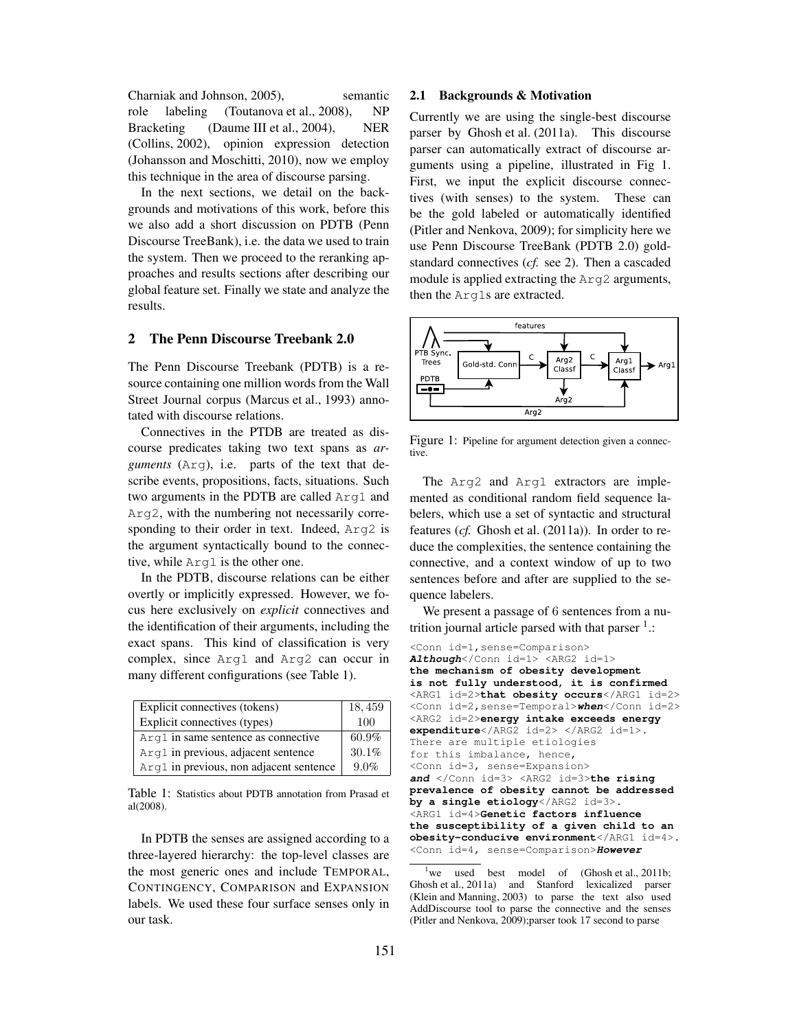Charniak and Johnson, 2005), semantic role labeling (Toutanova et al., 2008), NP Bracketing (Daume III et al., 2004), NER (Collins, 2002), opinion expression detection (Johansson and Moschitti, 2010), now we employ this technique in the area of discourse parsing.

In the next sections, we detail on the backgrounds and motivations of this work, before this we also add a short discussion on PDTB (Penn Discourse TreeBank), i.e. the data we used to train the system. Then we proceed to the reranking approaches and results sections after describing our global feature set. Finally we state and analyze the results.

# 2 The Penn Discourse Treebank 2.0

The Penn Discourse Treebank (PDTB) is a resource containing one million words from the Wall Street Journal corpus (Marcus et al., 1993) annotated with discourse relations.

Connectives in the PTDB are treated as discourse predicates taking two text spans as *arguments* (Arg), i.e. parts of the text that describe events, propositions, facts, situations. Such two arguments in the PDTB are called Arg1 and Arg2, with the numbering not necessarily corresponding to their order in text. Indeed, Arg2 is the argument syntactically bound to the connective, while Arg1 is the other one.

In the PDTB, discourse relations can be either overtly or implicitly expressed. However, we focus here exclusively on *explicit* connectives and the identification of their arguments, including the exact spans. This kind of classification is very complex, since Arg1 and Arg2 can occur in many different configurations (see Table 1).

| Explicit connectives (tokens)           | 18,459 |
|-----------------------------------------|--------|
| Explicit connectives (types)            | 100    |
| Arg1 in same sentence as connective     | 60.9%  |
| Arg1 in previous, adjacent sentence     | 30.1%  |
| Arg1 in previous, non adjacent sentence | 9.0%   |

Table 1: Statistics about PDTB annotation from Prasad et al(2008).

In PDTB the senses are assigned according to a three-layered hierarchy: the top-level classes are the most generic ones and include TEMPORAL, CONTINGENCY, COMPARISON and EXPANSION labels. We used these four surface senses only in our task.

#### 2.1 Backgrounds & Motivation

Currently we are using the single-best discourse parser by Ghosh et al. (2011a). This discourse parser can automatically extract of discourse arguments using a pipeline, illustrated in Fig 1. First, we input the explicit discourse connectives (with senses) to the system. These can be the gold labeled or automatically identified (Pitler and Nenkova, 2009); for simplicity here we use Penn Discourse TreeBank (PDTB 2.0) goldstandard connectives (*cf.* see 2). Then a cascaded module is applied extracting the Arg2 arguments, then the Arg1s are extracted.



Figure 1: Pipeline for argument detection given a connective.

The Arg2 and Arg1 extractors are implemented as conditional random field sequence labelers, which use a set of syntactic and structural features (*cf.* Ghosh et al. (2011a)). In order to reduce the complexities, the sentence containing the connective, and a context window of up to two sentences before and after are supplied to the sequence labelers.

We present a passage of 6 sentences from a nutrition journal article parsed with that parser  $1$ .:

```
<Conn id=1,sense=Comparison>
Although</Conn id=1> <ARG2 id=1>
the mechanism of obesity development
is not fully understood, it is confirmed
<ARG1 id=2>that obesity occurs</ARG1 id=2>
<Conn id=2,sense=Temporal>when</Conn id=2>
<ARG2 id=2>energy intake exceeds energy
expenditure</ARG2 id=2> </ARG2 id=1>.
There are multiple etiologies
for this imbalance, hence,
<Conn id=3, sense=Expansion>
and </Conn id=3> <ARG2 id=3>the rising
prevalence of obesity cannot be addressed
by a single etiology</ARG2 id=3>.
<ARG1 id=4>Genetic factors influence
the susceptibility of a given child to an
obesity-conducive environment</ARG1 id=4>.
<Conn id=4, sense=Comparison>However
```
we used best model of  $(Ghosh et al., 2011b;$ Ghosh et al., 2011a) and Stanford lexicalized parser (Klein and Manning, 2003) to parse the text also used AddDiscourse tool to parse the connective and the senses (Pitler and Nenkova, 2009);parser took 17 second to parse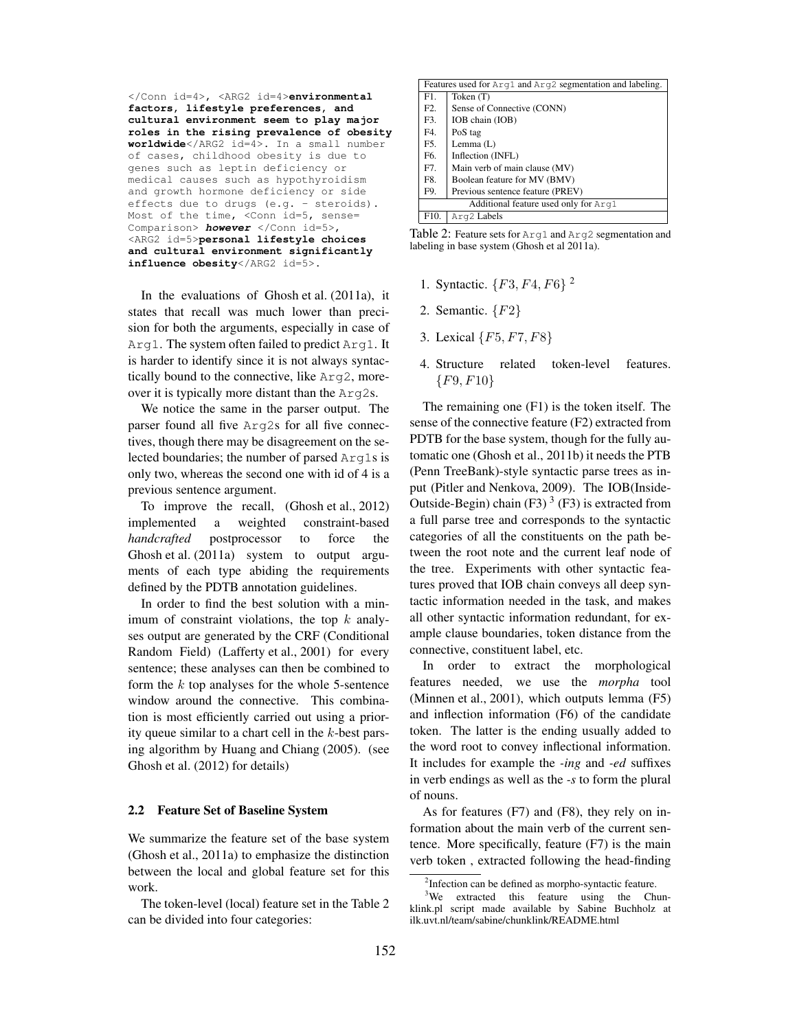</Conn id=4>, <ARG2 id=4>**environmental factors, lifestyle preferences, and cultural environment seem to play major roles in the rising prevalence of obesity worldwide**</ARG2 id=4>. In a small number of cases, childhood obesity is due to genes such as leptin deficiency or medical causes such as hypothyroidism and growth hormone deficiency or side effects due to drugs (e.g. - steroids). Most of the time, <Conn id=5, sense= Comparison> **however** </Conn id=5>, <ARG2 id=5>**personal lifestyle choices and cultural environment significantly influence obesity**</ARG2 id=5>.

In the evaluations of Ghosh et al. (2011a), it states that recall was much lower than precision for both the arguments, especially in case of Arg1. The system often failed to predict Arg1. It is harder to identify since it is not always syntactically bound to the connective, like Arg2, moreover it is typically more distant than the Arg2s.

We notice the same in the parser output. The parser found all five Arg2s for all five connectives, though there may be disagreement on the selected boundaries; the number of parsed Arg1s is only two, whereas the second one with id of 4 is a previous sentence argument.

To improve the recall, (Ghosh et al., 2012) implemented a weighted constraint-based *handcrafted* postprocessor to force the Ghosh et al. (2011a) system to output arguments of each type abiding the requirements defined by the PDTB annotation guidelines.

In order to find the best solution with a minimum of constraint violations, the top  $k$  analyses output are generated by the CRF (Conditional Random Field) (Lafferty et al., 2001) for every sentence; these analyses can then be combined to form the  $k$  top analyses for the whole 5-sentence window around the connective. This combination is most efficiently carried out using a priority queue similar to a chart cell in the k-best parsing algorithm by Huang and Chiang (2005). (see Ghosh et al. (2012) for details)

#### 2.2 Feature Set of Baseline System

We summarize the feature set of the base system (Ghosh et al., 2011a) to emphasize the distinction between the local and global feature set for this work.

The token-level (local) feature set in the Table 2 can be divided into four categories:

| Features used for Arg1 and Arg2 segmentation and labeling. |                                  |  |  |
|------------------------------------------------------------|----------------------------------|--|--|
| F1.                                                        | Token (T)                        |  |  |
| F2.                                                        | Sense of Connective (CONN)       |  |  |
| F3.                                                        | IOB chain (IOB)                  |  |  |
| F4.                                                        | PoS tag                          |  |  |
| F5.                                                        | Lemma $(L)$                      |  |  |
| F6.                                                        | Inflection (INFL)                |  |  |
| F7.                                                        | Main verb of main clause (MV)    |  |  |
| F8.                                                        | Boolean feature for MV (BMV)     |  |  |
| F9.                                                        | Previous sentence feature (PREV) |  |  |
| Additional feature used only for Arg1                      |                                  |  |  |
| F10.                                                       | Arg2 Labels                      |  |  |

Table 2: Feature sets for Arg1 and Arg2 segmentation and labeling in base system (Ghosh et al 2011a).

- 1. Syntactic. {F3, F4, F6} 2
- 2. Semantic.  $\{F2\}$
- 3. Lexical  $\{F5, F7, F8\}$
- 4. Structure related token-level features.  ${F9, F10}$

The remaining one (F1) is the token itself. The sense of the connective feature (F2) extracted from PDTB for the base system, though for the fully automatic one (Ghosh et al., 2011b) it needs the PTB (Penn TreeBank)-style syntactic parse trees as input (Pitler and Nenkova, 2009). The IOB(Inside-Outside-Begin) chain (F3)<sup>3</sup> (F3) is extracted from a full parse tree and corresponds to the syntactic categories of all the constituents on the path between the root note and the current leaf node of the tree. Experiments with other syntactic features proved that IOB chain conveys all deep syntactic information needed in the task, and makes all other syntactic information redundant, for example clause boundaries, token distance from the connective, constituent label, etc.

In order to extract the morphological features needed, we use the *morpha* tool (Minnen et al., 2001), which outputs lemma (F5) and inflection information (F6) of the candidate token. The latter is the ending usually added to the word root to convey inflectional information. It includes for example the *-ing* and *-ed* suffixes in verb endings as well as the *-s* to form the plural of nouns.

As for features (F7) and (F8), they rely on information about the main verb of the current sentence. More specifically, feature (F7) is the main verb token , extracted following the head-finding

<sup>&</sup>lt;sup>2</sup>Infection can be defined as morpho-syntactic feature.

<sup>&</sup>lt;sup>3</sup>We extracted this feature using the Chunklink.pl script made available by Sabine Buchholz at ilk.uvt.nl/team/sabine/chunklink/README.html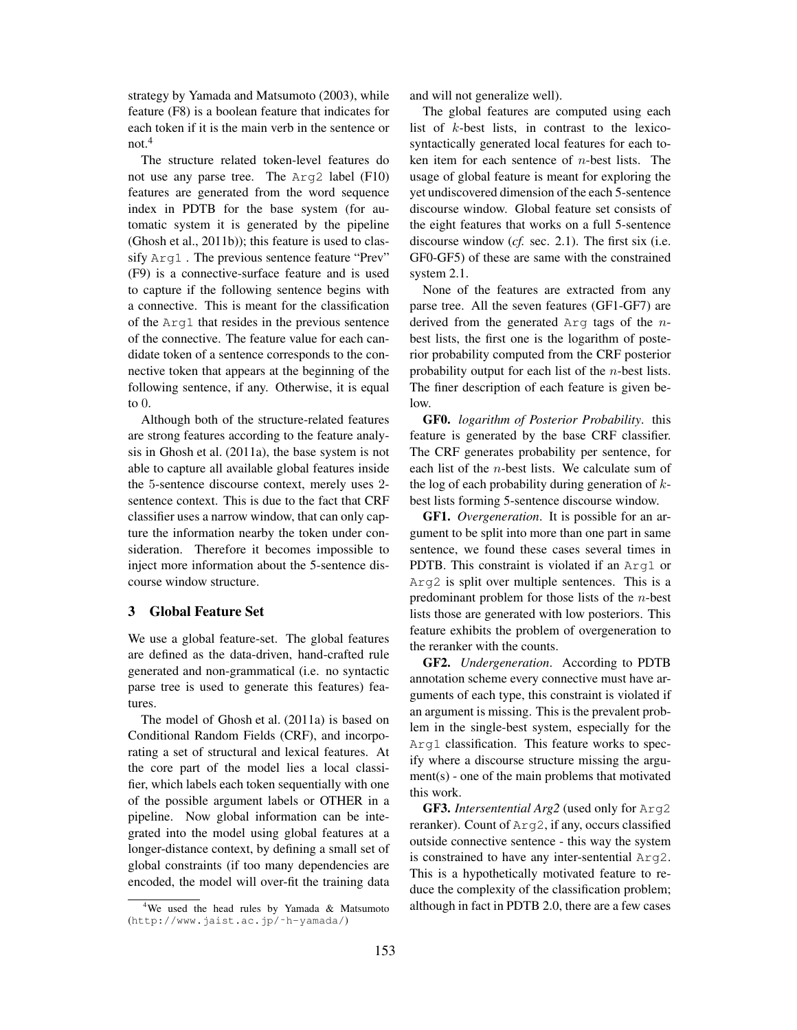strategy by Yamada and Matsumoto (2003), while feature (F8) is a boolean feature that indicates for each token if it is the main verb in the sentence or not.<sup>4</sup>

The structure related token-level features do not use any parse tree. The Arg2 label (F10) features are generated from the word sequence index in PDTB for the base system (for automatic system it is generated by the pipeline (Ghosh et al., 2011b)); this feature is used to classify Arg1 . The previous sentence feature "Prev" (F9) is a connective-surface feature and is used to capture if the following sentence begins with a connective. This is meant for the classification of the Arg1 that resides in the previous sentence of the connective. The feature value for each candidate token of a sentence corresponds to the connective token that appears at the beginning of the following sentence, if any. Otherwise, it is equal to 0.

Although both of the structure-related features are strong features according to the feature analysis in Ghosh et al. (2011a), the base system is not able to capture all available global features inside the 5-sentence discourse context, merely uses 2 sentence context. This is due to the fact that CRF classifier uses a narrow window, that can only capture the information nearby the token under consideration. Therefore it becomes impossible to inject more information about the 5-sentence discourse window structure.

# 3 Global Feature Set

We use a global feature-set. The global features are defined as the data-driven, hand-crafted rule generated and non-grammatical (i.e. no syntactic parse tree is used to generate this features) features.

The model of Ghosh et al. (2011a) is based on Conditional Random Fields (CRF), and incorporating a set of structural and lexical features. At the core part of the model lies a local classifier, which labels each token sequentially with one of the possible argument labels or OTHER in a pipeline. Now global information can be integrated into the model using global features at a longer-distance context, by defining a small set of global constraints (if too many dependencies are encoded, the model will over-fit the training data and will not generalize well).

The global features are computed using each list of k-best lists, in contrast to the lexicosyntactically generated local features for each token item for each sentence of n-best lists. The usage of global feature is meant for exploring the yet undiscovered dimension of the each 5-sentence discourse window. Global feature set consists of the eight features that works on a full 5-sentence discourse window (*cf.* sec. 2.1). The first six (i.e. GF0-GF5) of these are same with the constrained system 2.1.

None of the features are extracted from any parse tree. All the seven features (GF1-GF7) are derived from the generated Arg tags of the nbest lists, the first one is the logarithm of posterior probability computed from the CRF posterior probability output for each list of the n-best lists. The finer description of each feature is given below.

GF0. *logarithm of Posterior Probability*. this feature is generated by the base CRF classifier. The CRF generates probability per sentence, for each list of the n-best lists. We calculate sum of the log of each probability during generation of  $k$ best lists forming 5-sentence discourse window.

GF1. *Overgeneration*. It is possible for an argument to be split into more than one part in same sentence, we found these cases several times in PDTB. This constraint is violated if an Arg1 or Arg2 is split over multiple sentences. This is a predominant problem for those lists of the n-best lists those are generated with low posteriors. This feature exhibits the problem of overgeneration to the reranker with the counts.

GF2. *Undergeneration*. According to PDTB annotation scheme every connective must have arguments of each type, this constraint is violated if an argument is missing. This is the prevalent problem in the single-best system, especially for the Arg1 classification. This feature works to specify where a discourse structure missing the argument(s) - one of the main problems that motivated this work.

GF3. *Intersentential Arg2* (used only for Arg2 reranker). Count of Arg2, if any, occurs classified outside connective sentence - this way the system is constrained to have any inter-sentential Arg2. This is a hypothetically motivated feature to reduce the complexity of the classification problem; although in fact in PDTB 2.0, there are a few cases

<sup>&</sup>lt;sup>4</sup>We used the head rules by Yamada  $\&$  Matsumoto (http://www.jaist.ac.jp/˜h-yamada/)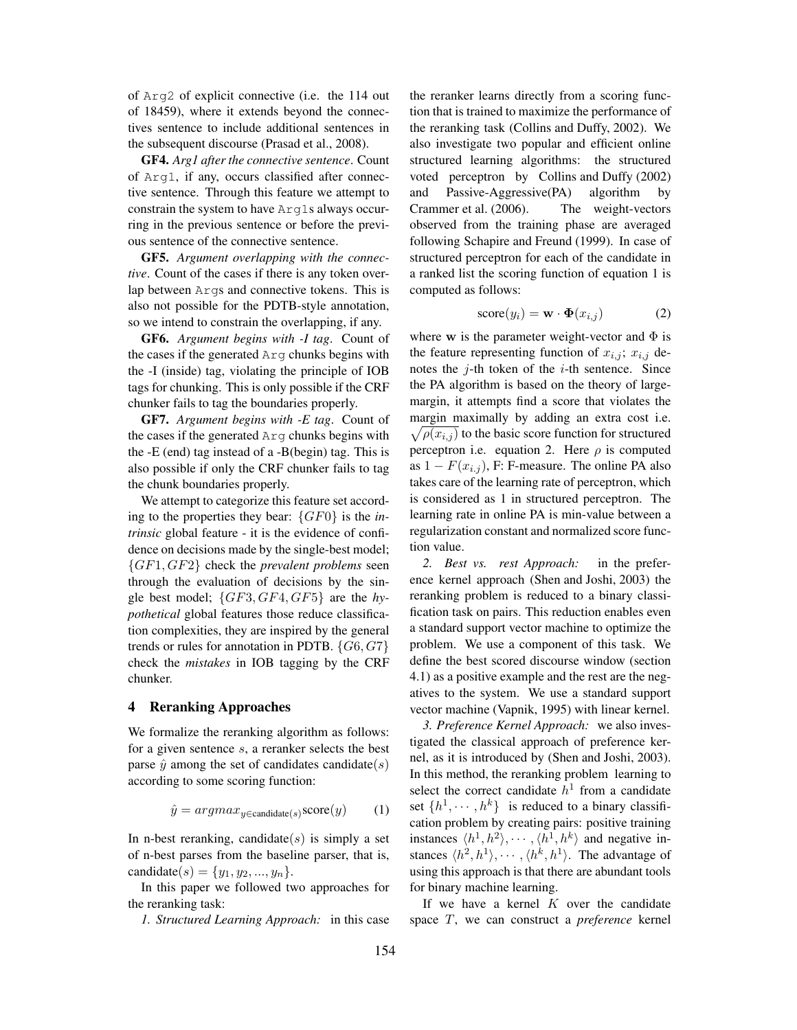of Arg2 of explicit connective (i.e. the 114 out of 18459), where it extends beyond the connectives sentence to include additional sentences in the subsequent discourse (Prasad et al., 2008).

GF4. *Arg1 after the connective sentence*. Count of Arg1, if any, occurs classified after connective sentence. Through this feature we attempt to constrain the system to have Arg1s always occurring in the previous sentence or before the previous sentence of the connective sentence.

GF5. *Argument overlapping with the connective*. Count of the cases if there is any token overlap between Args and connective tokens. This is also not possible for the PDTB-style annotation, so we intend to constrain the overlapping, if any.

GF6. *Argument begins with -I tag*. Count of the cases if the generated Arg chunks begins with the -I (inside) tag, violating the principle of IOB tags for chunking. This is only possible if the CRF chunker fails to tag the boundaries properly.

GF7. *Argument begins with -E tag*. Count of the cases if the generated Arg chunks begins with the -E (end) tag instead of a -B(begin) tag. This is also possible if only the CRF chunker fails to tag the chunk boundaries properly.

We attempt to categorize this feature set according to the properties they bear: {GF0} is the *intrinsic* global feature - it is the evidence of confidence on decisions made by the single-best model; {GF1, GF2} check the *prevalent problems* seen through the evaluation of decisions by the single best model; {GF3, GF4, GF5} are the *hypothetical* global features those reduce classification complexities, they are inspired by the general trends or rules for annotation in PDTB.  $\{G6, G7\}$ check the *mistakes* in IOB tagging by the CRF chunker.

# 4 Reranking Approaches

We formalize the reranking algorithm as follows: for a given sentence s, a reranker selects the best parse  $\hat{y}$  among the set of candidates candidate(s) according to some scoring function:

$$
\hat{y} = argmax_{y \in \text{candidate}(s)} \text{score}(y) \tag{1}
$$

In n-best reranking, candidate $(s)$  is simply a set of n-best parses from the baseline parser, that is, candidate(s) = { $y_1, y_2, ..., y_n$  }.

In this paper we followed two approaches for the reranking task:

*1. Structured Learning Approach:* in this case

the reranker learns directly from a scoring function that is trained to maximize the performance of the reranking task (Collins and Duffy, 2002). We also investigate two popular and efficient online structured learning algorithms: the structured voted perceptron by Collins and Duffy (2002) and Passive-Aggressive(PA) algorithm by Crammer et al. (2006). The weight-vectors observed from the training phase are averaged following Schapire and Freund (1999). In case of structured perceptron for each of the candidate in a ranked list the scoring function of equation 1 is computed as follows:

$$
score(y_i) = \mathbf{w} \cdot \mathbf{\Phi}(x_{i,j})
$$
 (2)

where w is the parameter weight-vector and  $\Phi$  is the feature representing function of  $x_{i,j}$ ;  $x_{i,j}$  denotes the  $j$ -th token of the  $i$ -th sentence. Since the PA algorithm is based on the theory of largemargin, it attempts find a score that violates the margin maximally by adding an extra cost i.e.  $\sqrt{\rho(x_{i,j})}$  to the basic score function for structured perceptron i.e. equation 2. Here  $\rho$  is computed as  $1 - F(x_{i,j})$ , F: F-measure. The online PA also takes care of the learning rate of perceptron, which is considered as 1 in structured perceptron. The learning rate in online PA is min-value between a regularization constant and normalized score function value.

*2. Best vs. rest Approach:* in the preference kernel approach (Shen and Joshi, 2003) the reranking problem is reduced to a binary classification task on pairs. This reduction enables even a standard support vector machine to optimize the problem. We use a component of this task. We define the best scored discourse window (section 4.1) as a positive example and the rest are the negatives to the system. We use a standard support vector machine (Vapnik, 1995) with linear kernel.

*3. Preference Kernel Approach:* we also investigated the classical approach of preference kernel, as it is introduced by (Shen and Joshi, 2003). In this method, the reranking problem learning to select the correct candidate  $h<sup>1</sup>$  from a candidate set  $\{h^1, \dots, h^k\}$  is reduced to a binary classification problem by creating pairs: positive training instances  $\langle h^1, h^2 \rangle, \cdots, \langle h^1, h^k \rangle$  and negative instances  $\langle h^2, h^1 \rangle, \cdots, \langle h^k, h^1 \rangle$ . The advantage of using this approach is that there are abundant tools for binary machine learning.

If we have a kernel  $K$  over the candidate space T, we can construct a *preference* kernel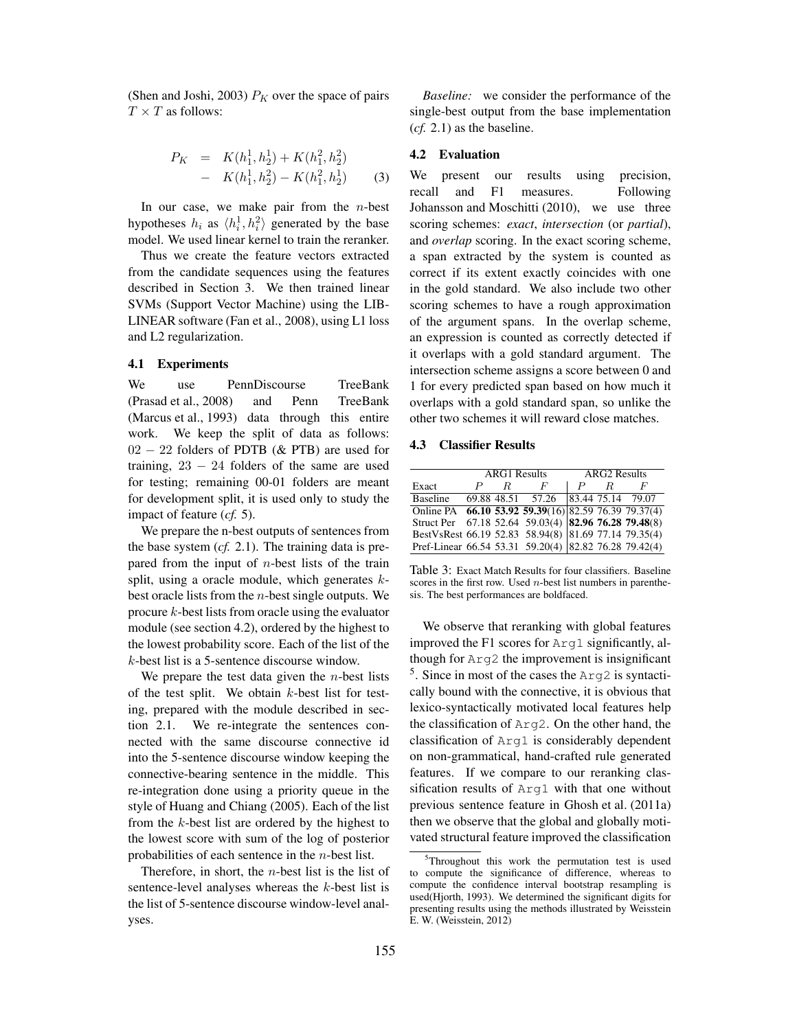(Shen and Joshi, 2003)  $P_K$  over the space of pairs  $T \times T$  as follows:

$$
P_K = K(h_1^1, h_2^1) + K(h_1^2, h_2^2)
$$
  
- K(h\_1^1, h\_2^2) - K(h\_1^2, h\_2^1) (3)

In our case, we make pair from the  $n$ -best hypotheses  $h_i$  as  $\langle h_i^1, h_i^2 \rangle$  generated by the base model. We used linear kernel to train the reranker.

Thus we create the feature vectors extracted from the candidate sequences using the features described in Section 3. We then trained linear SVMs (Support Vector Machine) using the LIB-LINEAR software (Fan et al., 2008), using L1 loss and L2 regularization.

# 4.1 Experiments

We use PennDiscourse TreeBank (Prasad et al., 2008) and Penn TreeBank (Marcus et al., 1993) data through this entire work. We keep the split of data as follows: 02 − 22 folders of PDTB (& PTB) are used for training,  $23 - 24$  folders of the same are used for testing; remaining 00-01 folders are meant for development split, it is used only to study the impact of feature (*cf.* 5).

We prepare the n-best outputs of sentences from the base system (*cf.* 2.1). The training data is prepared from the input of  $n$ -best lists of the train split, using a oracle module, which generates  $k$ best oracle lists from the n-best single outputs. We procure k-best lists from oracle using the evaluator module (see section 4.2), ordered by the highest to the lowest probability score. Each of the list of the k-best list is a 5-sentence discourse window.

We prepare the test data given the  $n$ -best lists of the test split. We obtain  $k$ -best list for testing, prepared with the module described in section 2.1. We re-integrate the sentences connected with the same discourse connective id into the 5-sentence discourse window keeping the connective-bearing sentence in the middle. This re-integration done using a priority queue in the style of Huang and Chiang (2005). Each of the list from the  $k$ -best list are ordered by the highest to the lowest score with sum of the log of posterior probabilities of each sentence in the n-best list.

Therefore, in short, the  $n$ -best list is the list of sentence-level analyses whereas the k-best list is the list of 5-sentence discourse window-level analyses.

*Baseline:* we consider the performance of the single-best output from the base implementation (*cf.* 2.1) as the baseline.

# 4.2 Evaluation

We present our results using precision, recall and F1 measures. Following Johansson and Moschitti (2010), we use three scoring schemes: *exact*, *intersection* (or *partial*), and *overlap* scoring. In the exact scoring scheme, a span extracted by the system is counted as correct if its extent exactly coincides with one in the gold standard. We also include two other scoring schemes to have a rough approximation of the argument spans. In the overlap scheme, an expression is counted as correctly detected if it overlaps with a gold standard argument. The intersection scheme assigns a score between 0 and 1 for every predicted span based on how much it overlaps with a gold standard span, so unlike the other two schemes it will reward close matches.

#### 4.3 Classifier Results

|                                                       | <b>ARG1</b> Results |   |                                     | <b>ARG2</b> Results |   |   |
|-------------------------------------------------------|---------------------|---|-------------------------------------|---------------------|---|---|
| Exact                                                 |                     | R | $\overline{F}$                      |                     | R | F |
| <b>Baseline</b>                                       |                     |   | 69.88 48.51 57.26 83.44 75.14 79.07 |                     |   |   |
| Online PA 66.10 53.92 59.39(16) 82.59 76.39 79.37(4)  |                     |   |                                     |                     |   |   |
| Struct Per 67.18 52.64 59.03(4) 82.96 76.28 79.48(8)  |                     |   |                                     |                     |   |   |
| BestVsRest 66.19 52.83 58.94(8) 81.69 77.14 79.35(4)  |                     |   |                                     |                     |   |   |
| Pref-Linear 66.54 53.31 59.20(4) 82.82 76.28 79.42(4) |                     |   |                                     |                     |   |   |

Table 3: Exact Match Results for four classifiers. Baseline scores in the first row. Used  $n$ -best list numbers in parenthesis. The best performances are boldfaced.

We observe that reranking with global features improved the F1 scores for Arg1 significantly, although for Arg2 the improvement is insignificant 5 . Since in most of the cases the Arg2 is syntactically bound with the connective, it is obvious that lexico-syntactically motivated local features help the classification of Arg2. On the other hand, the classification of Arg1 is considerably dependent on non-grammatical, hand-crafted rule generated features. If we compare to our reranking classification results of Arg1 with that one without previous sentence feature in Ghosh et al. (2011a) then we observe that the global and globally motivated structural feature improved the classification

<sup>&</sup>lt;sup>5</sup>Throughout this work the permutation test is used to compute the significance of difference, whereas to compute the confidence interval bootstrap resampling is used(Hjorth, 1993). We determined the significant digits for presenting results using the methods illustrated by Weisstein E. W. (Weisstein, 2012)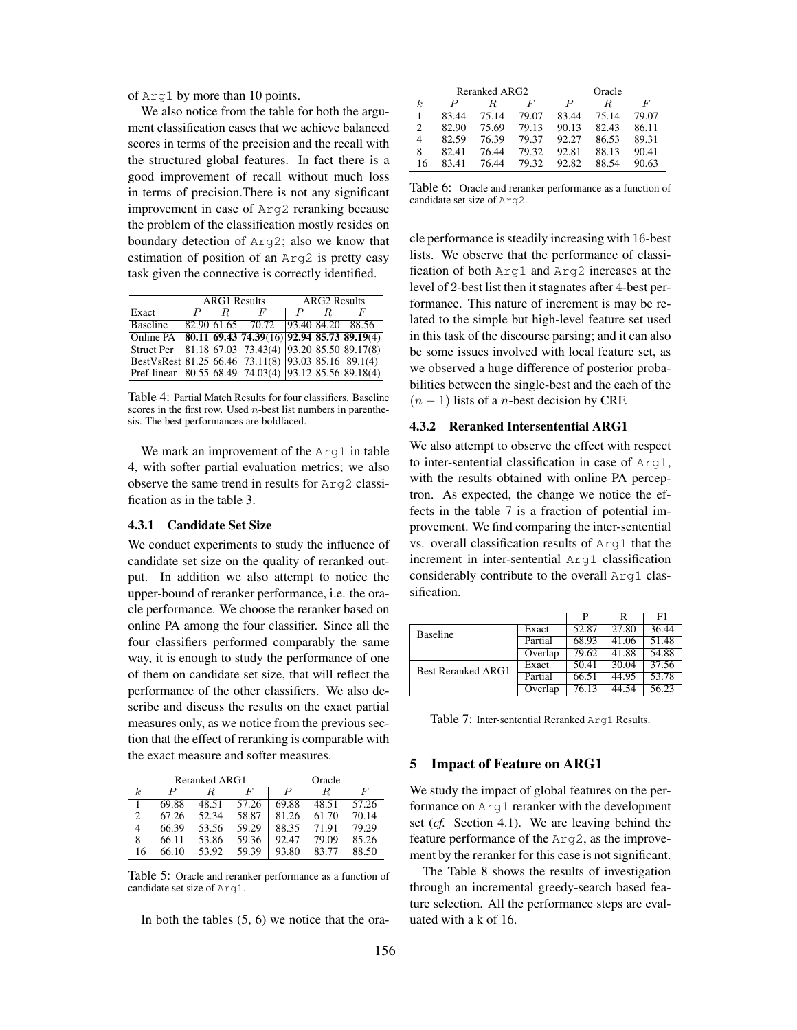of Arg1 by more than 10 points.

We also notice from the table for both the argument classification cases that we achieve balanced scores in terms of the precision and the recall with the structured global features. In fact there is a good improvement of recall without much loss in terms of precision.There is not any significant improvement in case of Arg2 reranking because the problem of the classification mostly resides on boundary detection of Arg2; also we know that estimation of position of an Arg2 is pretty easy task given the connective is correctly identified.

|                                                       | <b>ARG1</b> Results |   |                   | <b>ARG2</b> Results |   |                   |
|-------------------------------------------------------|---------------------|---|-------------------|---------------------|---|-------------------|
| Exact                                                 | P                   | R | $\bm{F}$          |                     | R | F                 |
| <b>Baseline</b>                                       |                     |   | 82.90 61.65 70.72 |                     |   | 93.40 84.20 88.56 |
| Online PA 80.11 69.43 74.39(16) 92.94 85.73 89.19(4)  |                     |   |                   |                     |   |                   |
| Struct Per 81.18 67.03 73.43(4) 93.20 85.50 89.17(8)  |                     |   |                   |                     |   |                   |
| BestVsRest 81.25 66.46 73.11(8) 93.03 85.16 89.1(4)   |                     |   |                   |                     |   |                   |
| Pref-linear 80.55 68.49 74.03(4) 93.12 85.56 89.18(4) |                     |   |                   |                     |   |                   |

Table 4: Partial Match Results for four classifiers. Baseline scores in the first row. Used  $n$ -best list numbers in parenthesis. The best performances are boldfaced.

We mark an improvement of the Arg1 in table 4, with softer partial evaluation metrics; we also observe the same trend in results for Arg2 classification as in the table 3.

# 4.3.1 Candidate Set Size

We conduct experiments to study the influence of candidate set size on the quality of reranked output. In addition we also attempt to notice the upper-bound of reranker performance, i.e. the oracle performance. We choose the reranker based on online PA among the four classifier. Since all the four classifiers performed comparably the same way, it is enough to study the performance of one of them on candidate set size, that will reflect the performance of the other classifiers. We also describe and discuss the results on the exact partial measures only, as we notice from the previous section that the effect of reranking is comparable with the exact measure and softer measures.

|    |       | Reranked ARG1 | Oracle |       |       |       |
|----|-------|---------------|--------|-------|-------|-------|
| k. | P     | R             | F      | P     | R     | F     |
|    | 69.88 | 48.51         | 57.26  | 69.88 | 48.51 | 57.26 |
| 2  | 67.26 | 52.34         | 58.87  | 81.26 | 61.70 | 70.14 |
| 4  | 66.39 | 53.56         | 59.29  | 88.35 | 71.91 | 79.29 |
| 8  | 66.11 | 53.86         | 59.36  | 92.47 | 79.09 | 85.26 |
| 16 | 66.10 | 53.92         | 59.39  | 93.80 | 83.77 | 88.50 |

Table 5: Oracle and reranker performance as a function of candidate set size of Arg1.

In both the tables  $(5, 6)$  we notice that the ora-

|    |       | Reranked ARG2 | Oracle |       |       |       |
|----|-------|---------------|--------|-------|-------|-------|
| k. | P     | R             | F      | P     | R     | F     |
|    | 83.44 | 75.14         | 79.07  | 83.44 | 75.14 | 79.07 |
| 2  | 82.90 | 75.69         | 79.13  | 90.13 | 82.43 | 86.11 |
| 4  | 82.59 | 76.39         | 79.37  | 92.27 | 86.53 | 89.31 |
| 8  | 82.41 | 76.44         | 79.32  | 92.81 | 88.13 | 90.41 |
| 16 | 83.41 | 76.44         | 79.32  | 92.82 | 88.54 | 90.63 |

Table 6: Oracle and reranker performance as a function of candidate set size of Arg2.

cle performance is steadily increasing with 16-best lists. We observe that the performance of classification of both Arg1 and Arg2 increases at the level of 2-best list then it stagnates after 4-best performance. This nature of increment is may be related to the simple but high-level feature set used in this task of the discourse parsing; and it can also be some issues involved with local feature set, as we observed a huge difference of posterior probabilities between the single-best and the each of the  $(n - 1)$  lists of a *n*-best decision by CRF.

# 4.3.2 Reranked Intersentential ARG1

We also attempt to observe the effect with respect to inter-sentential classification in case of Arg1, with the results obtained with online PA perceptron. As expected, the change we notice the effects in the table 7 is a fraction of potential improvement. We find comparing the inter-sentential vs. overall classification results of Arg1 that the increment in inter-sentential Arg1 classification considerably contribute to the overall Arg1 classification.

|                           |         | р                  |       | F1    |
|---------------------------|---------|--------------------|-------|-------|
| <b>Baseline</b>           | Exact   | 52.87              | 27.80 | 36.44 |
|                           | Partial | $68.\overline{93}$ | 41.06 | 51.48 |
|                           | Overlap | 79.62              | 41.88 | 54.88 |
| <b>Best Reranked ARG1</b> | Exact   | 50.41              | 30.04 | 37.56 |
|                           | Partial | 66.51              | 44.95 | 53.78 |
|                           | Overlap | 76.13              | 44.54 | 56.23 |

Table 7: Inter-sentential Reranked Arg1 Results.

# 5 Impact of Feature on ARG1

We study the impact of global features on the performance on Arg1 reranker with the development set (*cf.* Section 4.1). We are leaving behind the feature performance of the Arg2, as the improvement by the reranker for this case is not significant.

The Table 8 shows the results of investigation through an incremental greedy-search based feature selection. All the performance steps are evaluated with a k of 16.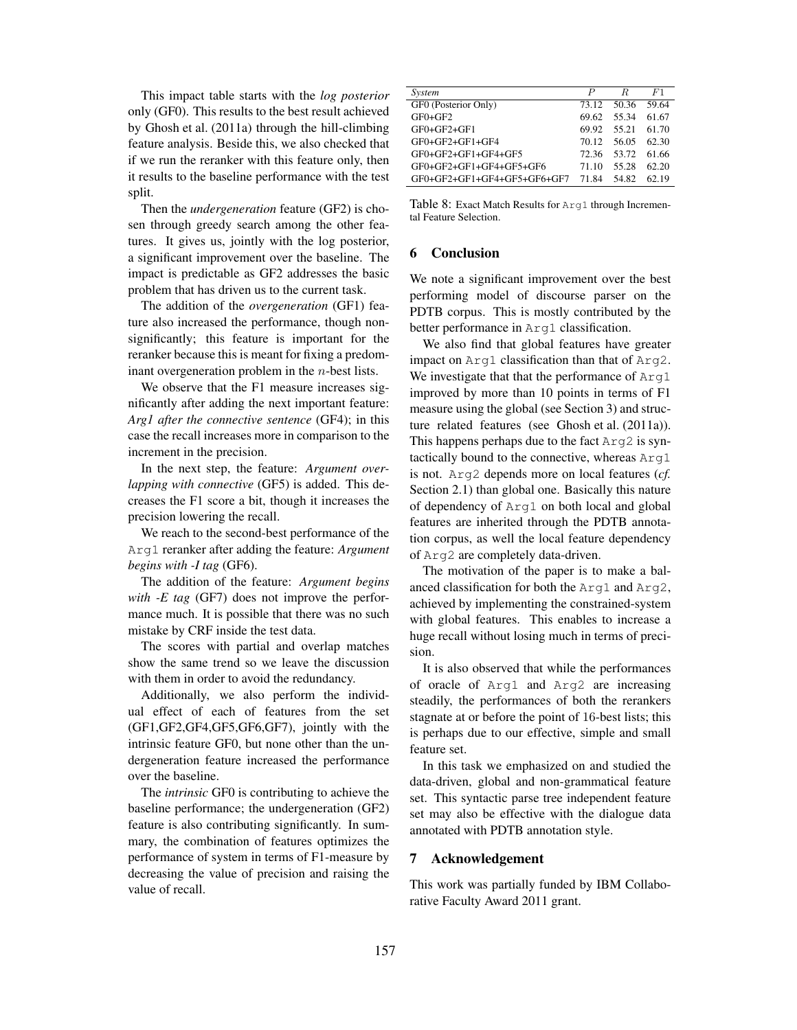This impact table starts with the *log posterior* only (GF0). This results to the best result achieved by Ghosh et al. (2011a) through the hill-climbing feature analysis. Beside this, we also checked that if we run the reranker with this feature only, then it results to the baseline performance with the test split.

Then the *undergeneration* feature (GF2) is chosen through greedy search among the other features. It gives us, jointly with the log posterior, a significant improvement over the baseline. The impact is predictable as GF2 addresses the basic problem that has driven us to the current task.

The addition of the *overgeneration* (GF1) feature also increased the performance, though nonsignificantly; this feature is important for the reranker because this is meant for fixing a predominant overgeneration problem in the n-best lists.

We observe that the F1 measure increases significantly after adding the next important feature: *Arg1 after the connective sentence* (GF4); in this case the recall increases more in comparison to the increment in the precision.

In the next step, the feature: *Argument overlapping with connective* (GF5) is added. This decreases the F1 score a bit, though it increases the precision lowering the recall.

We reach to the second-best performance of the Arg1 reranker after adding the feature: *Argument begins with -I tag* (GF6).

The addition of the feature: *Argument begins with -E tag* (GF7) does not improve the performance much. It is possible that there was no such mistake by CRF inside the test data.

The scores with partial and overlap matches show the same trend so we leave the discussion with them in order to avoid the redundancy.

Additionally, we also perform the individual effect of each of features from the set (GF1,GF2,GF4,GF5,GF6,GF7), jointly with the intrinsic feature GF0, but none other than the undergeneration feature increased the performance over the baseline.

The *intrinsic* GF0 is contributing to achieve the baseline performance; the undergeneration (GF2) feature is also contributing significantly. In summary, the combination of features optimizes the performance of system in terms of F1-measure by decreasing the value of precision and raising the value of recall.

| System                      | P     | R     | F1    |
|-----------------------------|-------|-------|-------|
| GF0 (Posterior Only)        | 73.12 | 50.36 | 59.64 |
| $GF0+GF2$                   | 69.62 | 55 34 | 61.67 |
| $GF0+GF2+GF1$               | 69.92 | 55.21 | 61.70 |
| $GF0+GF2+GF1+GF4$           | 70.12 | 56.05 | 62.30 |
| GF0+GF2+GF1+GF4+GF5         | 72.36 | 53.72 | 61.66 |
| GF0+GF2+GF1+GF4+GF5+GF6     | 71 10 | 55.28 | 62.20 |
| GF0+GF2+GF1+GF4+GF5+GF6+GF7 | 7184  | 54.82 | 62.19 |
|                             |       |       |       |

Table 8: Exact Match Results for Arg1 through Incremental Feature Selection.

# 6 Conclusion

We note a significant improvement over the best performing model of discourse parser on the PDTB corpus. This is mostly contributed by the better performance in Arg1 classification.

We also find that global features have greater impact on Arg1 classification than that of Arg2. We investigate that that the performance of Arg1 improved by more than 10 points in terms of F1 measure using the global (see Section 3) and structure related features (see Ghosh et al. (2011a)). This happens perhaps due to the fact Arg2 is syntactically bound to the connective, whereas Arg1 is not. Arg2 depends more on local features (*cf.* Section 2.1) than global one. Basically this nature of dependency of Arg1 on both local and global features are inherited through the PDTB annotation corpus, as well the local feature dependency of Arg2 are completely data-driven.

The motivation of the paper is to make a balanced classification for both the Arg1 and Arg2, achieved by implementing the constrained-system with global features. This enables to increase a huge recall without losing much in terms of precision.

It is also observed that while the performances of oracle of Arg1 and Arg2 are increasing steadily, the performances of both the rerankers stagnate at or before the point of 16-best lists; this is perhaps due to our effective, simple and small feature set.

In this task we emphasized on and studied the data-driven, global and non-grammatical feature set. This syntactic parse tree independent feature set may also be effective with the dialogue data annotated with PDTB annotation style.

# 7 Acknowledgement

This work was partially funded by IBM Collaborative Faculty Award 2011 grant.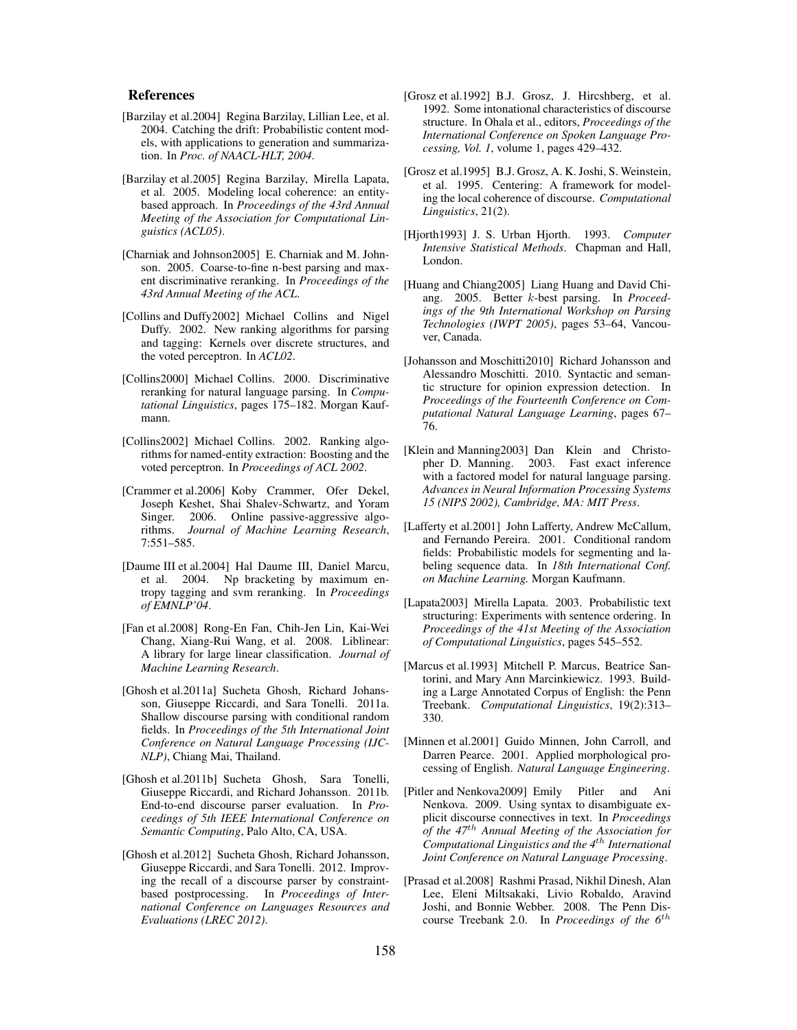#### References

- [Barzilay et al.2004] Regina Barzilay, Lillian Lee, et al. 2004. Catching the drift: Probabilistic content models, with applications to generation and summarization. In *Proc. of NAACL-HLT, 2004*.
- [Barzilay et al.2005] Regina Barzilay, Mirella Lapata, et al. 2005. Modeling local coherence: an entitybased approach. In *Proceedings of the 43rd Annual Meeting of the Association for Computational Linguistics (ACL05)*.
- [Charniak and Johnson2005] E. Charniak and M. Johnson. 2005. Coarse-to-fine n-best parsing and maxent discriminative reranking. In *Proceedings of the 43rd Annual Meeting of the ACL*.
- [Collins and Duffy2002] Michael Collins and Nigel Duffy. 2002. New ranking algorithms for parsing and tagging: Kernels over discrete structures, and the voted perceptron. In *ACL02*.
- [Collins2000] Michael Collins. 2000. Discriminative reranking for natural language parsing. In *Computational Linguistics*, pages 175–182. Morgan Kaufmann.
- [Collins2002] Michael Collins. 2002. Ranking algorithms for named-entity extraction: Boosting and the voted perceptron. In *Proceedings of ACL 2002*.
- [Crammer et al.2006] Koby Crammer, Ofer Dekel, Joseph Keshet, Shai Shalev-Schwartz, and Yoram Singer. 2006. Online passive-aggressive algorithms. *Journal of Machine Learning Research*, 7:551–585.
- [Daume III et al.2004] Hal Daume III, Daniel Marcu, et al. 2004. Np bracketing by maximum entropy tagging and svm reranking. In *Proceedings of EMNLP'04*.
- [Fan et al.2008] Rong-En Fan, Chih-Jen Lin, Kai-Wei Chang, Xiang-Rui Wang, et al. 2008. Liblinear: A library for large linear classification. *Journal of Machine Learning Research*.
- [Ghosh et al.2011a] Sucheta Ghosh, Richard Johansson, Giuseppe Riccardi, and Sara Tonelli. 2011a. Shallow discourse parsing with conditional random fields. In *Proceedings of the 5th International Joint Conference on Natural Language Processing (IJC-NLP)*, Chiang Mai, Thailand.
- [Ghosh et al.2011b] Sucheta Ghosh, Sara Tonelli, Giuseppe Riccardi, and Richard Johansson. 2011b. End-to-end discourse parser evaluation. In *Proceedings of 5th IEEE International Conference on Semantic Computing*, Palo Alto, CA, USA.
- [Ghosh et al.2012] Sucheta Ghosh, Richard Johansson, Giuseppe Riccardi, and Sara Tonelli. 2012. Improving the recall of a discourse parser by constraintbased postprocessing. In *Proceedings of International Conference on Languages Resources and Evaluations (LREC 2012)*.
- [Grosz et al.1992] B.J. Grosz, J. Hircshberg, et al. 1992. Some intonational characteristics of discourse structure. In Ohala et al., editors, *Proceedings of the International Conference on Spoken Language Processing, Vol. 1*, volume 1, pages 429–432.
- [Grosz et al.1995] B.J. Grosz, A. K. Joshi, S. Weinstein, et al. 1995. Centering: A framework for modeling the local coherence of discourse. *Computational Linguistics*, 21(2).
- [Hjorth1993] J. S. Urban Hjorth. 1993. *Computer Intensive Statistical Methods*. Chapman and Hall, London.
- [Huang and Chiang2005] Liang Huang and David Chiang. 2005. Better k-best parsing. In *Proceedings of the 9th International Workshop on Parsing Technologies (IWPT 2005)*, pages 53–64, Vancouver, Canada.
- [Johansson and Moschitti2010] Richard Johansson and Alessandro Moschitti. 2010. Syntactic and semantic structure for opinion expression detection. In *Proceedings of the Fourteenth Conference on Computational Natural Language Learning*, pages 67– 76.
- [Klein and Manning2003] Dan Klein and Christopher D. Manning. 2003. Fast exact inference with a factored model for natural language parsing. *Advances in Neural Information Processing Systems 15 (NIPS 2002), Cambridge, MA: MIT Press*.
- [Lafferty et al.2001] John Lafferty, Andrew McCallum, and Fernando Pereira. 2001. Conditional random fields: Probabilistic models for segmenting and labeling sequence data. In *18th International Conf. on Machine Learning.* Morgan Kaufmann.
- [Lapata2003] Mirella Lapata. 2003. Probabilistic text structuring: Experiments with sentence ordering. In *Proceedings of the 41st Meeting of the Association of Computational Linguistics*, pages 545–552.
- [Marcus et al.1993] Mitchell P. Marcus, Beatrice Santorini, and Mary Ann Marcinkiewicz. 1993. Building a Large Annotated Corpus of English: the Penn Treebank. *Computational Linguistics*, 19(2):313– 330.
- [Minnen et al.2001] Guido Minnen, John Carroll, and Darren Pearce. 2001. Applied morphological processing of English. *Natural Language Engineering*.
- [Pitler and Nenkova2009] Emily Pitler and Ani Nenkova. 2009. Using syntax to disambiguate explicit discourse connectives in text. In *Proceedings of the 47*th *Annual Meeting of the Association for Computational Linguistics and the 4*th *International Joint Conference on Natural Language Processing*.
- [Prasad et al.2008] Rashmi Prasad, Nikhil Dinesh, Alan Lee, Eleni Miltsakaki, Livio Robaldo, Aravind Joshi, and Bonnie Webber. 2008. The Penn Discourse Treebank 2.0. In *Proceedings of the 6*th